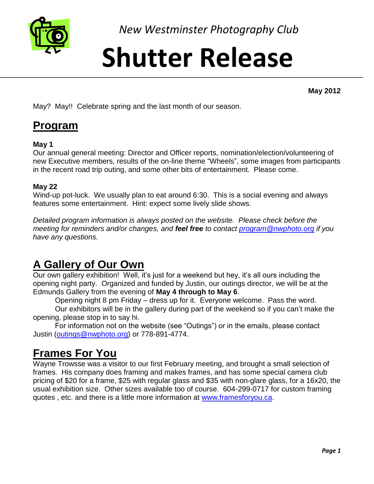

*New Westminster Photography Club*

# **Shutter Release**

**May 2012**

May? May!! Celebrate spring and the last month of our season.

### **Program**

#### **May 1**

Our annual general meeting: Director and Officer reports, nomination/election/volunteering of new Executive members, results of the on-line theme "Wheels", some images from participants in the recent road trip outing, and some other bits of entertainment. Please come.

#### **May 22**

Wind-up pot-luck. We usually plan to eat around 6:30. This is a social evening and always features some entertainment. Hint: expect some lively slide shows.

*Detailed program information is always posted on the website. Please check before the meeting for reminders and/or changes, and feel free to contact [program@nwphoto.org](mailto:program@nwphoto.org) if you have any questions.*

# **A Gallery of Our Own**

Our own gallery exhibition! Well, it's just for a weekend but hey, it's all ours including the opening night party. Organized and funded by Justin, our outings director, we will be at the Edmunds Gallery from the evening of **May 4 through to May 6**.

Opening night 8 pm Friday – dress up for it. Everyone welcome. Pass the word.

Our exhibitors will be in the gallery during part of the weekend so if you can't make the opening, please stop in to say hi.

For information not on the website (see "Outings") or in the emails, please contact Justin [\(outings@nwphoto.org\)](mailto:outings@nwphoto.org) or 778-891-4774.

## **Frames For You**

Wayne Trowsse was a visitor to our first February meeting, and brought a small selection of frames. His company does framing and makes frames, and has some special camera club pricing of \$20 for a frame, \$25 with regular glass and \$35 with non-glare glass, for a 16x20, the usual exhibition size. Other sizes available too of course. 604-299-0717 for custom framing quotes , etc. and there is a little more information at [www.framesforyou.ca.](http://www.framesforyou.ca/)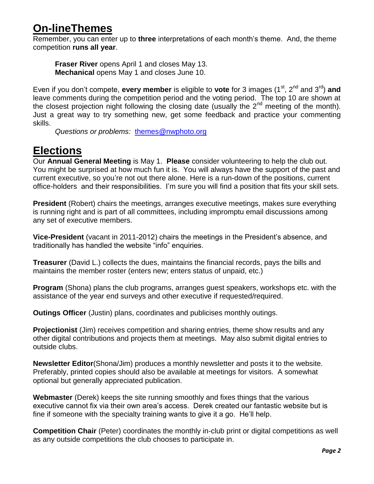### **On-lineThemes**

Remember, you can enter up to **three** interpretations of each month's theme. And, the theme competition **runs all year**.

**Fraser River** opens April 1 and closes May 13. **Mechanical** opens May 1 and closes June 10.

Even if you don't compete, **every member** is eligible to **vote** for 3 images (1<sup>st</sup>, 2<sup>nd</sup> and 3<sup>rd</sup>) and leave comments during the competition period and the voting period. The top 10 are shown at the closest projection night following the closing date (usually the  $2<sup>nd</sup>$  meeting of the month). Just a great way to try something new, get some feedback and practice your commenting skills.

*Questions or problems:* [themes@nwphoto.org](mailto:themes@nwphoto.org)

# **Elections**

Our **Annual General Meeting** is May 1. **Please** consider volunteering to help the club out. You might be surprised at how much fun it is. You will always have the support of the past and current executive, so you're not out there alone. Here is a run-down of the positions, current office-holders and their responsibilities. I'm sure you will find a position that fits your skill sets.

**President** (Robert) chairs the meetings, arranges executive meetings, makes sure everything is running right and is part of all committees, including impromptu email discussions among any set of executive members.

**Vice-President** (vacant in 2011-2012) chairs the meetings in the President's absence, and traditionally has handled the website "info" enquiries.

**Treasurer** (David L.) collects the dues, maintains the financial records, pays the bills and maintains the member roster (enters new; enters status of unpaid, etc.)

**Program** (Shona) plans the club programs, arranges guest speakers, workshops etc. with the assistance of the year end surveys and other executive if requested/required.

**Outings Officer** (Justin) plans, coordinates and publicises monthly outings.

**Projectionist** (Jim) receives competition and sharing entries, theme show results and any other digital contributions and projects them at meetings. May also submit digital entries to outside clubs.

**Newsletter Editor**(Shona/Jim) produces a monthly newsletter and posts it to the website. Preferably, printed copies should also be available at meetings for visitors. A somewhat optional but generally appreciated publication.

**Webmaster** (Derek) keeps the site running smoothly and fixes things that the various executive cannot fix via their own area's access. Derek created our fantastic website but is fine if someone with the specialty training wants to give it a go. He'll help.

**Competition Chair** (Peter) coordinates the monthly in-club print or digital competitions as well as any outside competitions the club chooses to participate in.